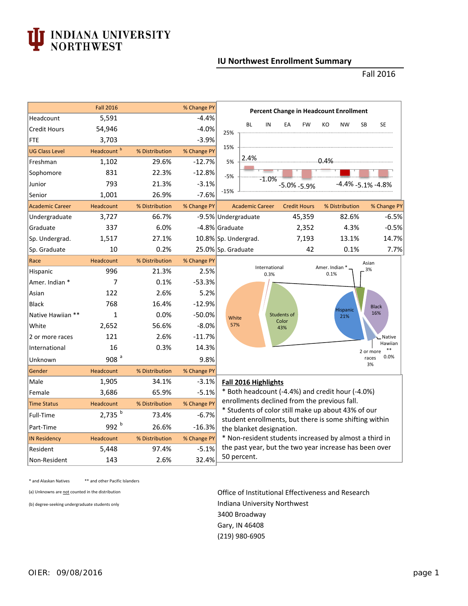

## **IU Northwest Enrollment Summary**

Fall 2016

|                        | <b>Fall 2016</b>       |                | % Change PY | <b>Percent Change in Headcount Enrollment</b>                                                                                                                                                                    |  |  |  |  |  |
|------------------------|------------------------|----------------|-------------|------------------------------------------------------------------------------------------------------------------------------------------------------------------------------------------------------------------|--|--|--|--|--|
| Headcount              | 5,591                  |                | $-4.4%$     | <b>BL</b><br>IN<br><b>SB</b><br><b>SE</b><br>EA<br><b>FW</b><br>KO<br><b>NW</b>                                                                                                                                  |  |  |  |  |  |
| <b>Credit Hours</b>    | 54,946                 |                | $-4.0%$     | 25%                                                                                                                                                                                                              |  |  |  |  |  |
| FTE                    | 3,703                  |                | $-3.9%$     |                                                                                                                                                                                                                  |  |  |  |  |  |
| <b>UG Class Level</b>  | Headcount <sup>b</sup> | % Distribution | % Change PY | 15%                                                                                                                                                                                                              |  |  |  |  |  |
| Freshman               | 1,102                  | 29.6%          | $-12.7%$    | 2.4%<br>$0.4\%$<br>5%                                                                                                                                                                                            |  |  |  |  |  |
| Sophomore              | 831                    | 22.3%          | $-12.8%$    | $-5%$<br>$-1.0%$                                                                                                                                                                                                 |  |  |  |  |  |
| Junior                 | 793                    | 21.3%          | $-3.1%$     | $-4.4\% -5.1\% -4.8\%$<br>$-5.0\% - 5.9\%$                                                                                                                                                                       |  |  |  |  |  |
| Senior                 | 1,001                  | 26.9%          | $-7.6%$     | $-15%$                                                                                                                                                                                                           |  |  |  |  |  |
| <b>Academic Career</b> | Headcount              | % Distribution | % Change PY | <b>Academic Career</b><br><b>Credit Hours</b><br>% Distribution<br>% Change PY                                                                                                                                   |  |  |  |  |  |
| Undergraduate          | 3,727                  | 66.7%          |             | 45,359<br>82.6%<br>$-6.5%$<br>-9.5% Undergraduate                                                                                                                                                                |  |  |  |  |  |
| Graduate               | 337                    | 6.0%           |             | $-0.5%$<br>2,352<br>4.3%<br>-4.8% Graduate                                                                                                                                                                       |  |  |  |  |  |
| Sp. Undergrad.         | 1,517                  | 27.1%          |             | 14.7%<br>10.8% Sp. Undergrad.<br>7,193<br>13.1%                                                                                                                                                                  |  |  |  |  |  |
| Sp. Graduate           | 10                     | 0.2%           |             | 42<br>0.1%<br>25.0% Sp. Graduate<br>7.7%                                                                                                                                                                         |  |  |  |  |  |
| Race                   | Headcount              | % Distribution | % Change PY | Asian                                                                                                                                                                                                            |  |  |  |  |  |
| Hispanic               | 996                    | 21.3%          | 2.5%        | International<br>Amer. Indian *<br>3%<br>0.1%<br>0.3%                                                                                                                                                            |  |  |  |  |  |
| Amer. Indian *         | 7                      | 0.1%           | $-53.3%$    |                                                                                                                                                                                                                  |  |  |  |  |  |
| Asian                  | 122                    | 2.6%           | 5.2%        |                                                                                                                                                                                                                  |  |  |  |  |  |
| <b>Black</b>           | 768                    | 16.4%          | $-12.9%$    | <b>Black</b><br><b>Hispanic</b>                                                                                                                                                                                  |  |  |  |  |  |
| Native Hawiian **      | $\mathbf{1}$           | 0.0%           | $-50.0%$    | 16%<br>Students of<br>21%<br>White                                                                                                                                                                               |  |  |  |  |  |
| White                  | 2,652                  | 56.6%          | $-8.0%$     | Color<br>57%<br>43%                                                                                                                                                                                              |  |  |  |  |  |
| 2 or more races        | 121                    | 2.6%           | $-11.7%$    | <b>Native</b>                                                                                                                                                                                                    |  |  |  |  |  |
| International          | 16                     | 0.3%           | 14.3%       | Hawiian<br>$***$<br>2 or more                                                                                                                                                                                    |  |  |  |  |  |
| Unknown                | 908 $a$                |                | 9.8%        | 0.0%<br>races<br>3%                                                                                                                                                                                              |  |  |  |  |  |
| Gender                 | Headcount              | % Distribution | % Change PY |                                                                                                                                                                                                                  |  |  |  |  |  |
| Male                   | 1,905                  | 34.1%          | $-3.1%$     | Fall 2016 Highlights                                                                                                                                                                                             |  |  |  |  |  |
| Female                 | 3,686                  | 65.9%          | $-5.1%$     | * Both headcount (-4.4%) and credit hour (-4.0%)<br>enrollments declined from the previous fall.<br>* Students of color still make up about 43% of our<br>student enrollments, but there is some shifting within |  |  |  |  |  |
| <b>Time Status</b>     | Headcount              | % Distribution | % Change PY |                                                                                                                                                                                                                  |  |  |  |  |  |
| Full-Time              | $2,735$ <sup>b</sup>   | 73.4%          | $-6.7%$     |                                                                                                                                                                                                                  |  |  |  |  |  |
| Part-Time              | 992 b                  | 26.6%          | $-16.3%$    | the blanket designation.                                                                                                                                                                                         |  |  |  |  |  |
| <b>IN Residency</b>    | Headcount              | % Distribution | % Change PY | * Non-resident students increased by almost a third in                                                                                                                                                           |  |  |  |  |  |
| Resident               | 5,448                  | 97.4%          | $-5.1%$     | the past year, but the two year increase has been over                                                                                                                                                           |  |  |  |  |  |
| Non-Resident           | 143                    | 2.6%           | 32.4%       | 50 percent.                                                                                                                                                                                                      |  |  |  |  |  |

\* and Alaskan Natives \*\* and other Pacific Islanders

(a) Unknowns are not counted in the distribution **Office of Institutional Effectiveness and Research** (b) degree-seeking undergraduate students only **Indiana University Northwest** 3400 Broadway Gary, IN 46408 (219) 980‐6905